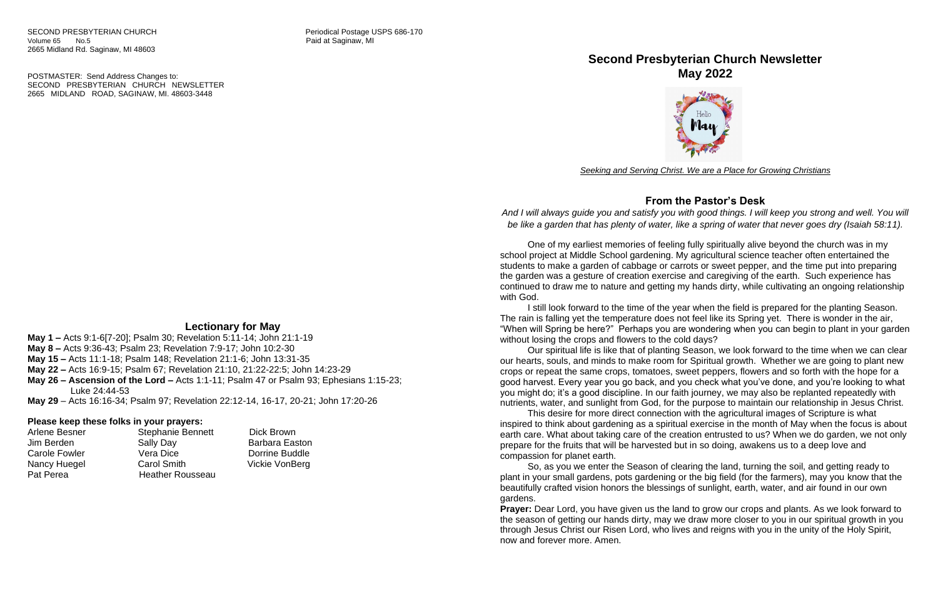POSTMASTER: Send Address Changes to: SECOND PRESBYTERIAN CHURCH NEWSLETTER 2665 MIDLAND ROAD, SAGINAW, MI. 48603-3448

# **Lectionary for May**

**May 1 –** Acts 9:1-6[7-20]; Psalm 30; Revelation 5:11-14; John 21:1-19 **May 8 –** Acts 9:36-43; Psalm 23; Revelation 7:9-17; John 10:2-30 **May 15 –** Acts 11:1-18; Psalm 148; Revelation 21:1-6; John 13:31-35 **May 22 –** Acts 16:9-15; Psalm 67; Revelation 21:10, 21:22-22:5; John 14:23-29 **May 26 – Ascension of the Lord –** Acts 1:1-11; Psalm 47 or Psalm 93; Ephesians 1:15-23; Luke 24:44-53

**May 29** – Acts 16:16-34; Psalm 97; Revelation 22:12-14, 16-17, 20-21; John 17:20-26

### **Please keep these folks in your prayers:**

| Arlene Besner        | <b>Stephanie Bennett</b> | Dick Brown            |
|----------------------|--------------------------|-----------------------|
| Jim Berden           | <b>Sally Day</b>         | <b>Barbara Easton</b> |
| <b>Carole Fowler</b> | Vera Dice                | Dorrine Buddle        |
| Nancy Huegel         | Carol Smith              | Vickie VonBerg        |
| Pat Perea            | <b>Heather Rousseau</b>  |                       |

# **Second Presbyterian Church Newsletter May 2022**



*Seeking and Serving Christ. We are a Place for Growing Christians*

# **From the Pastor's Desk**

*And I will always guide you and satisfy you with good things. I will keep you strong and well. You will be like a garden that has plenty of water, like a spring of water that never goes dry (Isaiah 58:11).*

One of my earliest memories of feeling fully spiritually alive beyond the church was in my school project at Middle School gardening. My agricultural science teacher often entertained the students to make a garden of cabbage or carrots or sweet pepper, and the time put into preparing the garden was a gesture of creation exercise and caregiving of the earth. Such experience has continued to draw me to nature and getting my hands dirty, while cultivating an ongoing relationship with God.

I still look forward to the time of the year when the field is prepared for the planting Season. The rain is falling yet the temperature does not feel like its Spring yet. There is wonder in the air, "When will Spring be here?" Perhaps you are wondering when you can begin to plant in your garden without losing the crops and flowers to the cold days?

Our spiritual life is like that of planting Season, we look forward to the time when we can clear our hearts, souls, and minds to make room for Spiritual growth. Whether we are going to plant new crops or repeat the same crops, tomatoes, sweet peppers, flowers and so forth with the hope for a good harvest. Every year you go back, and you check what you've done, and you're looking to what you might do; it's a good discipline. In our faith journey, we may also be replanted repeatedly with nutrients, water, and sunlight from God, for the purpose to maintain our relationship in Jesus Christ. This desire for more direct connection with the agricultural images of Scripture is what inspired to think about gardening as a spiritual exercise in the month of May when the focus is about earth care. What about taking care of the creation entrusted to us? When we do garden, we not only prepare for the fruits that will be harvested but in so doing, awakens us to a deep love and

compassion for planet earth.

So, as you we enter the Season of clearing the land, turning the soil, and getting ready to plant in your small gardens, pots gardening or the big field (for the farmers), may you know that the beautifully crafted vision honors the blessings of sunlight, earth, water, and air found in our own gardens.

**Prayer:** Dear Lord, you have given us the land to grow our crops and plants. As we look forward to the season of getting our hands dirty, may we draw more closer to you in our spiritual growth in you through Jesus Christ our Risen Lord, who lives and reigns with you in the unity of the Holy Spirit, now and forever more. Amen.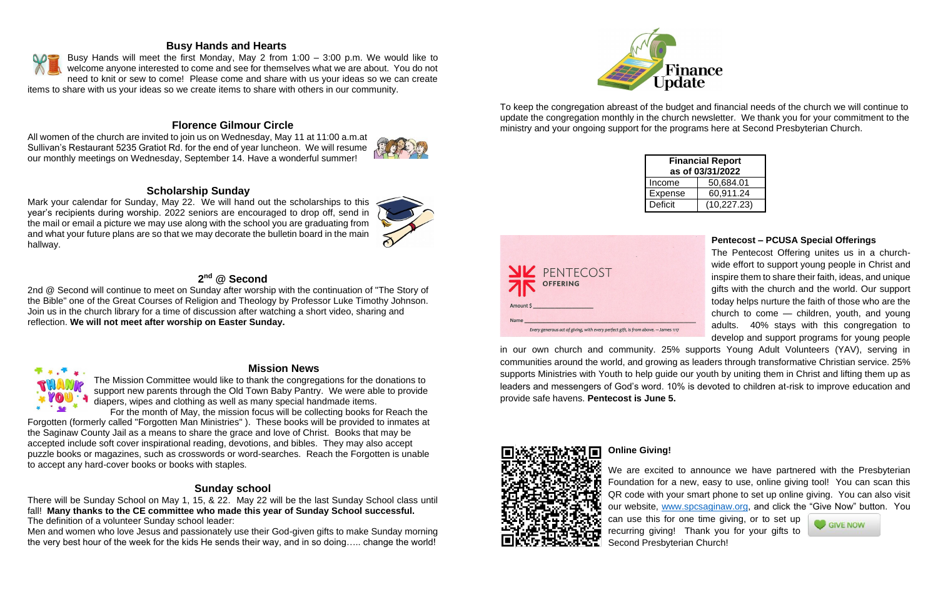### **Busy Hands and Hearts**

Busy Hands will meet the first Monday, May 2 from 1:00 – 3:00 p.m. We would like to welcome anyone interested to come and see for themselves what we are about. You do not need to knit or sew to come! Please come and share with us your ideas so we can create items to share with us your ideas so we create items to share with others in our community.

# **Florence Gilmour Circle**

All women of the church are invited to join us on Wednesday, May 11 at 11:00 a.m.at Sullivan's Restaurant 5235 Gratiot Rd. for the end of year luncheon. We will resume our monthly meetings on Wednesday, September 14. Have a wonderful summer!

### **Scholarship Sunday**

Mark your calendar for Sunday, May 22. We will hand out the scholarships to this year's recipients during worship. 2022 seniors are encouraged to drop off, send in the mail or email a picture we may use along with the school you are graduating from and what your future plans are so that we may decorate the bulletin board in the main hallway.

# **2 nd @ Second**

2nd @ Second will continue to meet on Sunday after worship with the continuation of "The Story of the Bible" one of the Great Courses of Religion and Theology by Professor Luke Timothy Johnson. Join us in the church library for a time of discussion after watching a short video, sharing and reflection. **We will not meet after worship on Easter Sunday.**



### **Mission News**

The Mission Committee would like to thank the congregations for the donations to support new parents through the Old Town Baby Pantry. We were able to provide diapers, wipes and clothing as well as many special handmade items.

For the month of May, the mission focus will be collecting books for Reach the Forgotten (formerly called "Forgotten Man Ministries" ). These books will be provided to inmates at the Saginaw County Jail as a means to share the grace and love of Christ. Books that may be accepted include soft cover inspirational reading, devotions, and bibles. They may also accept puzzle books or magazines, such as crosswords or word-searches. Reach the Forgotten is unable to accept any hard-cover books or books with staples.

## **Sunday school**

There will be Sunday School on May 1, 15, & 22. May 22 will be the last Sunday School class until fall! **Many thanks to the CE committee who made this year of Sunday School successful.** The definition of a volunteer Sunday school leader:

Men and women who love Jesus and passionately use their God-given gifts to make Sunday morning the very best hour of the week for the kids He sends their way, and in so doing….. change the world!



To keep the congregation abreast of the budget and financial needs of the church we will continue to update the congregation monthly in the church newsletter. We thank you for your commitment to the ministry and your ongoing support for the programs here at Second Presbyterian Church.

| <b>Financial Report</b><br>as of 03/31/2022 |              |  |  |  |  |
|---------------------------------------------|--------------|--|--|--|--|
| Income                                      | 50,684.01    |  |  |  |  |
| <b>Expense</b>                              | 60,911.24    |  |  |  |  |
| <b>Deficit</b>                              | (10, 227.23) |  |  |  |  |

| <b>NV</b> PENTECOST<br><b>THE OFFERING</b>                                                 |
|--------------------------------------------------------------------------------------------|
| Amount \$                                                                                  |
| Name<br>Every generous act of giving, with every perfect gift, is from above. - James 1:17 |

### **Pentecost – PCUSA Special Offerings**

The Pentecost Offering unites us in a churchwide effort to support young people in Christ and inspire them to share their faith, ideas, and unique gifts with the church and the world. Our support today helps nurture the faith of those who are the church to come — children, youth, and young adults. 40% stays with this congregation to develop and support programs for young people



in our own church and community. 25% supports Young Adult Volunteers (YAV), serving in communities around the world, and growing as leaders through transformative Christian service. 25% supports Ministries with Youth to help guide our youth by uniting them in Christ and lifting them up as leaders and messengers of God's word. 10% is devoted to children at-risk to improve education and provide safe havens. **Pentecost is June 5.**



## **Online Giving!**

We are excited to announce we have partnered with the Presbyterian Foundation for a new, easy to use, online giving tool! You can scan this QR code with your smart phone to set up online giving. You can also visit our website, [www.spcsaginaw.org,](http://www.spcsaginaw.org/) and click the "Give Now" button. You can use this for one time giving, or to set up **GIVE NOW** recurring giving! Thank you for your gifts to Second Presbyterian Church!





# Finance

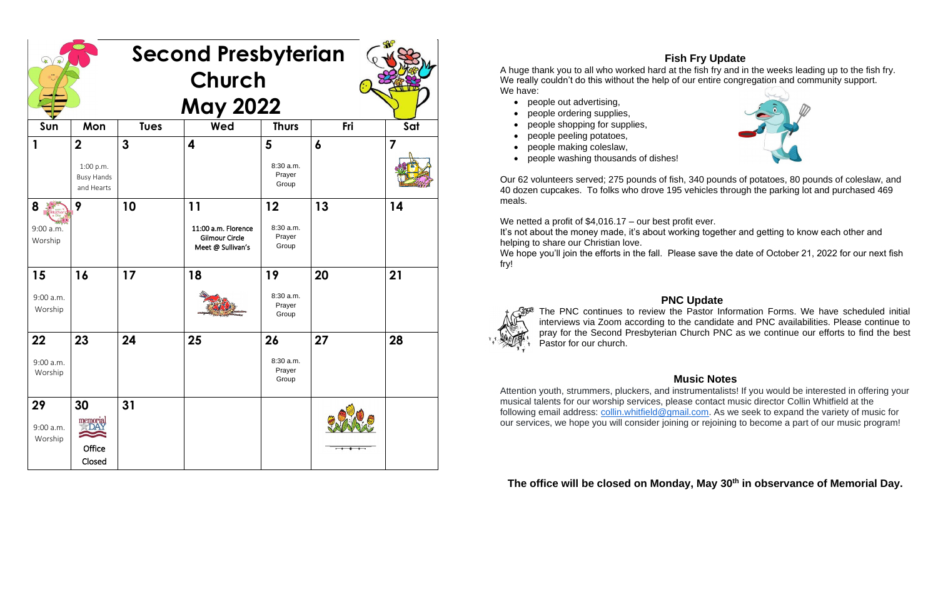# **Fish Fry Update**



A huge thank you to all who worked hard at the fish fry and in the weeks leading up to the fish fry. We really couldn't do this without the help of our entire congregation and community support. We have:

- people out advertising,
- people ordering supplies,
- people shopping for supplies,
- people peeling potatoes,
- people making coleslaw,
- people washing thousands of dishes!

We netted a profit of \$4,016.17 – our best profit ever. It's not about the money made, it's about working together and getting to know each other and helping to share our Christian love.

We hope you'll join the efforts in the fall. Please save the date of October 21, 2022 for our next fish fry!



Our 62 volunteers served; 275 pounds of fish, 340 pounds of potatoes, 80 pounds of coleslaw, and 40 dozen cupcakes. To folks who drove 195 vehicles through the parking lot and purchased 469 meals.

# **PNC Update**

The PNC continues to review the Pastor Information Forms. We have scheduled initial interviews via Zoom according to the candidate and PNC availabilities. Please continue to pray for the Second Presbyterian Church PNC as we continue our efforts to find the best Pastor for our church.

## **Music Notes**

Attention youth, strummers, pluckers, and instrumentalists! If you would be interested in offering your musical talents for our worship services, please contact music director Collin Whitfield at the following email address: [collin.whitfield@gmail.com.](mailto:collin.whitfield@gmail.com) As we seek to expand the variety of music for our services, we hope you will consider joining or rejoining to become a part of our music program!

# **The office will be closed on Monday, May 30th in observance of Memorial Day.**

| <b>Second Presbyterian</b>   |                                                                |              |                                                                         |                                    |                  |     |  |  |
|------------------------------|----------------------------------------------------------------|--------------|-------------------------------------------------------------------------|------------------------------------|------------------|-----|--|--|
| Church<br><b>May 2022</b>    |                                                                |              |                                                                         |                                    |                  |     |  |  |
| Sun                          | Mon                                                            | <b>Tues</b>  | Wed                                                                     | <b>Thurs</b>                       | Fri              | Sat |  |  |
|                              | $\overline{2}$<br>1:00 p.m.<br><b>Busy Hands</b><br>and Hearts | $\mathbf{3}$ | $\overline{\mathbf{4}}$                                                 | 5<br>8:30 a.m.<br>Prayer<br>Group  | $\boldsymbol{6}$ | 7   |  |  |
| 8<br>9:00 a.m.<br>Worship    | 9                                                              | 10           | 11<br>11:00 a.m. Florence<br><b>Gilmour Circle</b><br>Meet @ Sullivan's | 12<br>8:30 a.m.<br>Prayer<br>Group | 13               | 14  |  |  |
| 15<br>$9:00$ a.m.<br>Worship | 16                                                             | 17           | 18                                                                      | 19<br>8:30 a.m.<br>Prayer<br>Group | 20               | 21  |  |  |
| 22<br>9:00 a.m.<br>Worship   | 23                                                             | 24           | 25                                                                      | 26<br>8:30 a.m.<br>Prayer<br>Group | 27               | 28  |  |  |
| 29<br>9:00 a.m.<br>Worship   | 30<br>memorial<br>Office<br>Closed                             | 31           |                                                                         |                                    |                  |     |  |  |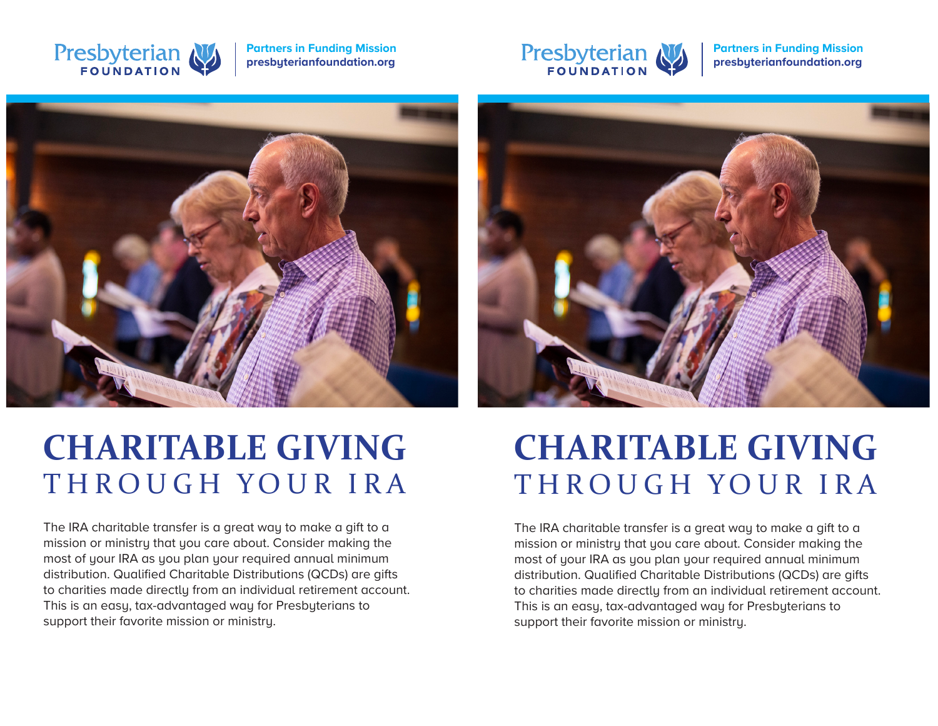

**Partners in Funding Mission presbyterianfoundation.org**



**Partners in Funding Mission presbyterianfoundation.org**



# **CHARITABLE GIVING** THROUGH YOUR IRA

The IRA charitable transfer is a great way to make a gift to a mission or ministry that you care about. Consider making the most of your IRA as you plan your required annual minimum distribution. Qualified Charitable Distributions (QCDs) are gifts to charities made directly from an individual retirement account. This is an easy, tax-advantaged way for Presbyterians to support their favorite mission or ministry.



# **CHARITABLE GIVING** THROUGH YOUR IRA

The IRA charitable transfer is a great way to make a gift to a mission or ministry that you care about. Consider making the most of your IRA as you plan your required annual minimum distribution. Qualified Charitable Distributions (QCDs) are gifts to charities made directly from an individual retirement account. This is an easy, tax-advantaged way for Presbyterians to support their favorite mission or ministry.